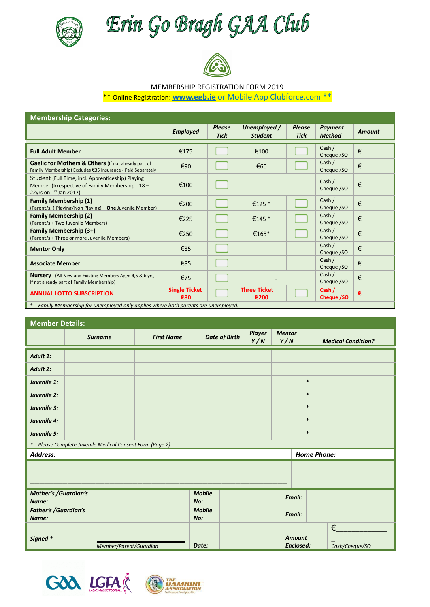

Erin Go Bragh GAA Club



## MEMBERSHIP REGISTRATION FORM 2019

\*\* Online Registration: **[www.egb.ie](http://www.egb.ie)** or Mobile App Clubforce.com \*\*

| <b>Membership Categories:</b>                                                                                                     |                             |                              |                                |                              |                                 |               |  |  |
|-----------------------------------------------------------------------------------------------------------------------------------|-----------------------------|------------------------------|--------------------------------|------------------------------|---------------------------------|---------------|--|--|
|                                                                                                                                   | <b>Employed</b>             | <b>Please</b><br><b>Tick</b> | Unemployed /<br><b>Student</b> | <b>Please</b><br><b>Tick</b> | <b>Payment</b><br><b>Method</b> | <b>Amount</b> |  |  |
| <b>Full Adult Member</b>                                                                                                          | €175                        |                              | €100                           |                              | Cash /<br>Cheque /SO            | €             |  |  |
| Gaelic for Mothers & Others (If not already part of<br>Family Membership) Excludes €35 Insurance - Paid Separately                | €90                         |                              | €60                            |                              | Cash /<br>Cheque /SO            | €             |  |  |
| Student (Full Time, incl. Apprenticeship) Playing<br>Member (Irrespective of Family Membership - 18 -<br>22yrs on $1st$ Jan 2017) | €100                        |                              |                                |                              | Cash /<br>Cheque /SO            | €             |  |  |
| <b>Family Membership (1)</b><br>(Parent/s, ((Playing/Non Playing) + One Juvenile Member)                                          | €200                        |                              | €125 *                         |                              | Cash /<br>Cheque /SO            | €             |  |  |
| <b>Family Membership (2)</b><br>(Parent/s + Two Juvenile Members)                                                                 | €225                        |                              | €145 $*$                       |                              | Cash /<br>Cheque /SO            | €             |  |  |
| <b>Family Membership (3+)</b><br>(Parent/s + Three or more Juvenile Members)                                                      | €250                        |                              | €165*                          |                              | Cash /<br>Cheque /SO            | €             |  |  |
| <b>Mentor Only</b>                                                                                                                | €85                         |                              |                                |                              | Cash /<br>Cheque /SO            | €             |  |  |
| <b>Associate Member</b>                                                                                                           | €85                         |                              |                                |                              | Cash /<br>Cheque /SO            | €             |  |  |
| <b>Nursery</b> (All New and Existing Members Aged 4,5 & 6 yrs,<br>If not already part of Family Membership)                       | €75                         |                              |                                |                              | Cash /<br>Cheque /SO            | €             |  |  |
| <b>ANNUAL LOTTO SUBSCRIPTION</b>                                                                                                  | <b>Single Ticket</b><br>€80 |                              | <b>Three Ticket</b><br>€200    |                              | Cash /<br>Cheque /SO            | €             |  |  |
| Family Membership for unemployed only applies where both parents are unemployed.                                                  |                             |                              |                                |                              |                                 |               |  |  |

#### **Member Details:**

| <b>IVIEITIDEL DETAILS:</b>           |  |                                                          |                      |                      |                      |                                   |               |                         |                           |
|--------------------------------------|--|----------------------------------------------------------|----------------------|----------------------|----------------------|-----------------------------------|---------------|-------------------------|---------------------------|
|                                      |  | <b>Surname</b>                                           | <b>First Name</b>    | <b>Date of Birth</b> | <b>Player</b><br>Y/N | <b>Mentor</b><br>Y/N              |               |                         | <b>Medical Condition?</b> |
| Adult 1:                             |  |                                                          |                      |                      |                      |                                   |               |                         |                           |
| Adult 2:                             |  |                                                          |                      |                      |                      |                                   |               |                         |                           |
| Juvenile 1:                          |  |                                                          |                      |                      |                      |                                   |               | $\ast$                  |                           |
| Juvenile 2:                          |  |                                                          |                      |                      |                      |                                   |               | $\ast$                  |                           |
| Juvenile 3:                          |  |                                                          |                      |                      |                      |                                   |               | $\ast$                  |                           |
| Juvenile 4:                          |  |                                                          |                      |                      |                      |                                   |               | $\ast$                  |                           |
| Juvenile 5:                          |  |                                                          |                      |                      |                      |                                   |               | $\ast$                  |                           |
|                                      |  | * Please Complete Juvenile Medical Consent Form (Page 2) |                      |                      |                      |                                   |               |                         |                           |
| Address:                             |  |                                                          |                      |                      |                      |                                   |               | <b>Home Phone:</b>      |                           |
|                                      |  |                                                          |                      |                      |                      |                                   |               |                         |                           |
|                                      |  |                                                          |                      |                      |                      |                                   |               |                         |                           |
| <b>Mother's /Guardian's</b><br>Name: |  |                                                          |                      | <b>Mobile</b><br>No: |                      |                                   | <b>Email:</b> |                         |                           |
| <b>Father's /Guardian's</b><br>Name: |  |                                                          | <b>Mobile</b><br>No: |                      |                      | <b>Email:</b>                     |               |                         |                           |
| Signed *<br>Member/Parent/Guardian   |  |                                                          | Date:                |                      |                      | <b>Amount</b><br><b>Enclosed:</b> |               | $\in$<br>Cash/Cheque/SO |                           |



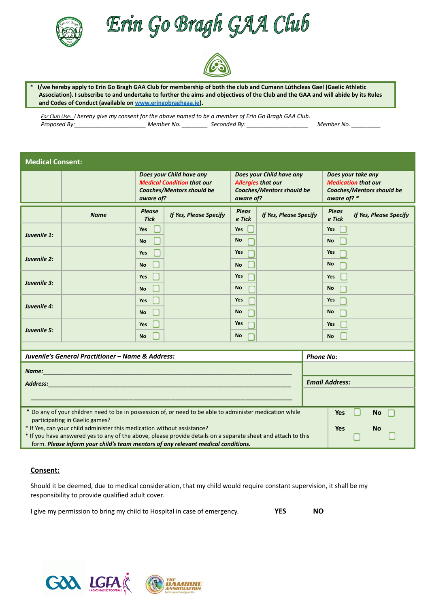

Erin Go Bragh GAA Club



**I/we hereby apply to Erin Go Bragh GAA Club for membership of both the club and Cumann Lúthcleas Gael (Gaelic Athletic Association). I subscribe to and undertake to further the aims and objectives of the Club and the GAA and will abide by its Rules and Codes of Conduct (available on [www.eringobraghgaa.ie\)](http://www.eringobraghgaa.ie).**

*For Club Use: I hereby give my consent for the above named to be a member of Erin Go Bragh GAA Club. Proposed By:\_\_\_\_\_\_\_\_\_\_\_\_\_\_\_\_\_\_\_\_\_\_ Member No. \_\_\_\_\_\_\_\_ Seconded By: \_\_\_\_\_\_\_\_\_\_\_\_\_\_\_\_\_\_\_ Member No. \_\_\_\_\_\_\_\_\_*

| <b>Medical Consent:</b>                                                                                                                            |             |                                                                                                                |                        |                                                                                                        |                        |                       |                                                                                                     |                        |  |
|----------------------------------------------------------------------------------------------------------------------------------------------------|-------------|----------------------------------------------------------------------------------------------------------------|------------------------|--------------------------------------------------------------------------------------------------------|------------------------|-----------------------|-----------------------------------------------------------------------------------------------------|------------------------|--|
|                                                                                                                                                    |             | Does your Child have any<br><b>Medical Condition that our</b><br><b>Coaches/Mentors should be</b><br>aware of? |                        | Does your Child have any<br><b>Allergies that our</b><br><b>Coaches/Mentors should be</b><br>aware of? |                        |                       | Does your take any<br><b>Medication that our</b><br><b>Coaches/Mentors should be</b><br>aware of? * |                        |  |
|                                                                                                                                                    | <b>Name</b> | <b>Please</b><br><b>Tick</b>                                                                                   | If Yes, Please Specify | <b>Pleas</b><br>e Tick                                                                                 | If Yes, Please Specify |                       | <b>Pleas</b><br>e Tick                                                                              | If Yes, Please Specify |  |
| Juvenile 1:                                                                                                                                        |             | Yes<br><b>No</b>                                                                                               |                        | Yes<br><b>No</b>                                                                                       |                        |                       | Yes<br><b>No</b>                                                                                    |                        |  |
|                                                                                                                                                    |             | Yes                                                                                                            |                        | Yes                                                                                                    |                        |                       | <b>Yes</b>                                                                                          |                        |  |
| Juvenile 2:                                                                                                                                        |             | <b>No</b>                                                                                                      |                        | <b>No</b>                                                                                              |                        |                       | <b>No</b>                                                                                           |                        |  |
| Juvenile 3:                                                                                                                                        |             | Yes                                                                                                            |                        | Yes                                                                                                    |                        |                       | Yes                                                                                                 |                        |  |
|                                                                                                                                                    |             | <b>No</b>                                                                                                      |                        | <b>No</b>                                                                                              |                        |                       | <b>No</b>                                                                                           |                        |  |
| Juvenile 4:                                                                                                                                        |             | Yes                                                                                                            |                        | Yes                                                                                                    |                        |                       | Yes                                                                                                 |                        |  |
|                                                                                                                                                    |             | <b>No</b>                                                                                                      |                        | <b>No</b>                                                                                              |                        |                       | <b>No</b>                                                                                           |                        |  |
| Juvenile 5:                                                                                                                                        |             | <b>Yes</b>                                                                                                     |                        | Yes                                                                                                    |                        |                       | Yes                                                                                                 |                        |  |
|                                                                                                                                                    |             | <b>No</b>                                                                                                      |                        | <b>No</b>                                                                                              |                        |                       | <b>No</b>                                                                                           |                        |  |
|                                                                                                                                                    |             |                                                                                                                |                        |                                                                                                        |                        |                       |                                                                                                     |                        |  |
| Juvenile's General Practitioner – Name & Address:                                                                                                  |             |                                                                                                                |                        |                                                                                                        |                        | <b>Phone No:</b>      |                                                                                                     |                        |  |
|                                                                                                                                                    |             |                                                                                                                |                        |                                                                                                        |                        |                       |                                                                                                     |                        |  |
| <b>Address:</b><br>$\mathcal{L}^{\text{max}}_{\text{max}}$ and $\mathcal{L}^{\text{max}}_{\text{max}}$ and $\mathcal{L}^{\text{max}}_{\text{max}}$ |             |                                                                                                                |                        |                                                                                                        |                        | <b>Email Address:</b> |                                                                                                     |                        |  |
|                                                                                                                                                    |             |                                                                                                                |                        |                                                                                                        |                        |                       |                                                                                                     |                        |  |
| * Do any of your children need to be in possession of, or need to be able to administer medication while                                           |             |                                                                                                                |                        |                                                                                                        |                        |                       | <b>Yes</b>                                                                                          | <b>No</b>              |  |
| participating in Gaelic games?<br>* If Yes, can your child administer this medication without assistance?                                          |             |                                                                                                                |                        |                                                                                                        |                        |                       | <b>Yes</b>                                                                                          | <b>No</b>              |  |
| * If you have answered yes to any of the above, please provide details on a separate sheet and attach to this                                      |             |                                                                                                                |                        |                                                                                                        |                        |                       |                                                                                                     |                        |  |
| form. Please inform your child's team mentors of any relevant medical conditions.                                                                  |             |                                                                                                                |                        |                                                                                                        |                        |                       |                                                                                                     |                        |  |

#### **Consent:**

Should it be deemed, due to medical consideration, that my child would require constant supervision, it shall be my responsibility to provide qualified adult cover.

I give my permission to bring my child to Hospital in case of emergency. **YES NO**



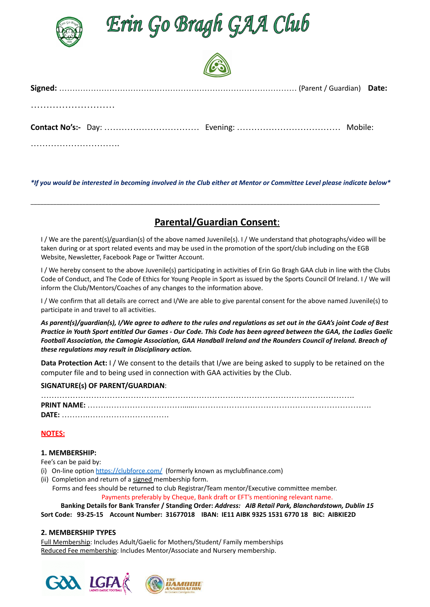

Erin Go Bragh GAA Club



\*If you would be interested in becoming involved in the Club either at Mentor or Committee Level please indicate below\*

\_\_\_\_\_\_\_\_\_\_\_\_\_\_\_\_\_\_\_\_\_\_\_\_\_\_\_\_\_\_\_\_\_\_\_\_\_\_\_\_\_\_\_\_\_\_\_\_\_\_\_\_\_\_\_\_\_\_\_\_\_\_\_\_\_\_\_\_\_\_\_\_\_\_\_\_\_\_\_\_\_\_\_\_\_\_\_\_\_\_\_\_\_\_\_\_\_\_\_\_\_\_\_\_\_\_\_\_

# **Parental/Guardian Consent**:

I / We are the parent(s)/guardian(s) of the above named Juvenile(s). I / We understand that photographs/video will be taken during or at sport related events and may be used in the promotion of the sport/club including on the EGB Website, Newsletter, Facebook Page or Twitter Account.

I / We hereby consent to the above Juvenile(s) participating in activities of Erin Go Bragh GAA club in line with the Clubs Code of Conduct, and The Code of Ethics for Young People in Sport as issued by the Sports Council Of Ireland. I / We will inform the Club/Mentors/Coaches of any changes to the information above.

I / We confirm that all details are correct and I/We are able to give parental consent for the above named Juvenile(s) to participate in and travel to all activities.

As parent(s)/guardian(s), I/We agree to adhere to the rules and regulations as set out in the GAA's joint Code of Best Practice in Youth Sport entitled Our Games - Our Code. This Code has been agreed between the GAA, the Ladies Gaelic Football Association, the Camogie Association, GAA Handball Ireland and the Rounders Council of Ireland. Breach of *these regulations may result in Disciplinary action.*

**Data Protection Act:** I / We consent to the details that I/we are being asked to supply to be retained on the computer file and to being used in connection with GAA activities by the Club.

#### **SIGNATURE(s) OF PARENT/GUARDIAN**:

| DATE: |  |
|-------|--|

#### **NOTES:**

#### **1. MEMBERSHIP:**

Fee's can be paid by:

- (i) On-line option <https://clubforce.com/> (formerly known as myclubfinance.com)
- (ii) Completion and return of a signed membership form.

Forms and fees should be returned to club Registrar/Team mentor/Executive committee member. Payments preferably by Cheque, Bank draft or EFT's mentioning relevant name.

**Banking Details for Bank Transfer / Standing Order:** *Address: AIB Retail Park, Blanchardstown, Dublin 15*

**Sort Code: 93-25-15 Account Number: 31677018 IBAN: IE11 AIBK 9325 1531 6770 18 BIC: AIBKIE2D**

#### **2. MEMBERSHIP TYPES**

Full Membership: Includes Adult/Gaelic for Mothers/Student/ Family memberships Reduced Fee membership: Includes Mentor/Associate and Nursery membership.